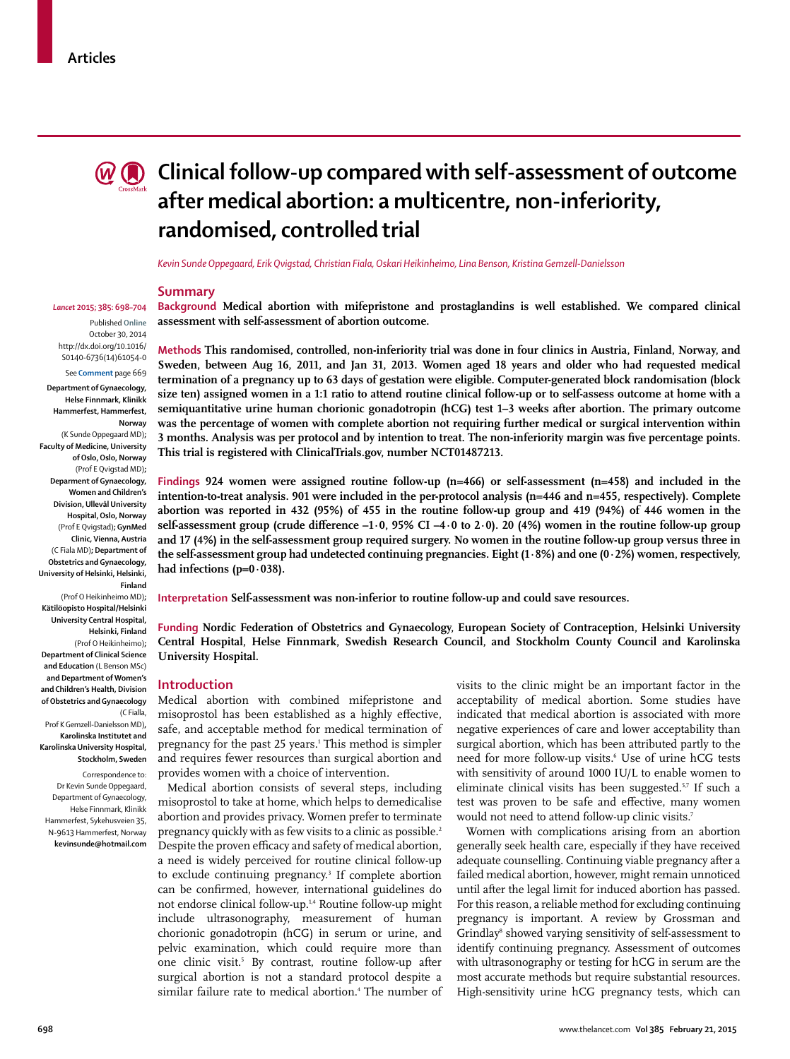

# **C**  $\odot$  Clinical follow-up compared with self-assessment of outcome **after medical abortion: a multicentre, non-inferiority, randomised, controlled trial**

*Kevin Sunde Oppegaard, Erik Qvigstad, Christian Fiala, Oskari Heikinheimo, Lina Benson, Kristina Gemzell-Danielsson*

## **Summary**

Published **Online** October 30, 2014 http://dx.doi.org/10.1016/ S0140-6736(14)61054-0 See **Comment** page 669

*Lancet* **2015; 385: 698–704**

**Department of Gynaecology, Helse Finnmark, Klinikk Hammerfest, Hammerfest, Norway** (K Sunde Oppegaard MD)**; Faculty of Medicine, University of Oslo, Oslo, Norway** (Prof E Qvigstad MD)**; Deparment of Gynaecology, Women and Children's Division, Ullevål University Hospital, Oslo, Norway** (Prof E Qvigstad)**; GynMed Clinic, Vienna, Austria** (C Fiala MD)**; Department of Obstetrics and Gynaecology, University of Helsinki, Helsinki, Finland** (Prof O Heikinheimo MD)**; Kätilöopisto Hospital/Helsinki University Central Hospital, Helsinki, Finland** (Prof O Heikinheimo)**; Department of Clinical Science and Education** (L Benson MSc) **and Department of Women's and Children's Health, Division of Obstetrics and Gynaecology** (C Fialla,

Prof K Gemzell-Danielsson MD)**, Karolinska Institutet and Karolinska University Hospital, Stockholm, Sweden** Correspondence to: Dr Kevin Sunde Oppegaard, Department of Gynaecology, Helse Finnmark, Klinikk Hammerfest, Sykehusveien 35, N-9613 Hammerfest, Norway **kevinsunde@hotmail.com** **Background Medical abortion with mifepristone and prostaglandins is well established. We compared clinical assessment with self-assessment of abortion outcome.**

**Methods This randomised, controlled, non-inferiority trial was done in four clinics in Austria, Finland, Norway, and Sweden, between Aug 16, 2011, and Jan 31, 2013. Women aged 18 years and older who had requested medical termination of a pregnancy up to 63 days of gestation were eligible. Computer-generated block randomisation (block size ten) assigned women in a 1:1 ratio to attend routine clinical follow-up or to self-assess outcome at home with a semiquantitative urine human chorionic gonadotropin (hCG) test 1–3 weeks after abortion. The primary outcome was the percentage of women with complete abortion not requiring further medical or surgical intervention within**  3 months. Analysis was per protocol and by intention to treat. The non-inferiority margin was five percentage points. **This trial is registered with ClinicalTrials.gov, number NCT01487213.**

**Findings 924 women were assigned routine follow-up (n=466) or self-assessment (n=458) and included in the intention-to-treat analysis. 901 were included in the per-protocol analysis (n=446 and n=455, respectively). Complete abortion was reported in 432 (95%) of 455 in the routine follow-up group and 419 (94%) of 446 women in the**  self-assessment group (crude difference  $-1.0$ , 95% CI $-4.0$  to 2 $.0$ ). 20 (4%) women in the routine follow-up group **and 17 (4%) in the self-assessment group required surgery. No women in the routine follow-up group versus three in the self-assessment group had undetected continuing pregnancies. Eight (1·8%) and one (0·2%) women, respectively, had infections (p=0·038).** 

**Interpretation Self-assessment was non-inferior to routine follow-up and could save resources.**

**Funding Nordic Federation of Obstetrics and Gynaecology, European Society of Contraception, Helsinki University Central Hospital, Helse Finnmark, Swedish Research Council, and Stockholm County Council and Karolinska University Hospital.**

## **Introduction**

Medical abortion with combined mifepristone and misoprostol has been established as a highly effective, safe, and acceptable method for medical termination of pregnancy for the past 25 years.<sup>1</sup> This method is simpler and requires fewer resources than surgical abortion and provides women with a choice of intervention.

Medical abortion consists of several steps, including misoprostol to take at home, which helps to demedicalise abortion and provides privacy. Women prefer to terminate pregnancy quickly with as few visits to a clinic as possible.<sup>2</sup> Despite the proven efficacy and safety of medical abortion, a need is widely perceived for routine clinical follow-up to exclude continuing pregnancy.<sup>3</sup> If complete abortion can be confirmed, however, international guidelines do not endorse clinical follow-up.1,4 Routine follow-up might include ultrasonography, measurement of human chorionic gonadotropin (hCG) in serum or urine, and pelvic examination, which could require more than one clinic visit.<sup>5</sup> By contrast, routine follow-up after surgical abortion is not a standard protocol despite a similar failure rate to medical abortion.4 The number of visits to the clinic might be an important factor in the acceptability of medical abortion. Some studies have indicated that medical abortion is associated with more negative experiences of care and lower acceptability than surgical abortion, which has been attributed partly to the need for more follow-up visits.<sup>6</sup> Use of urine hCG tests with sensitivity of around 1000 IU/L to enable women to eliminate clinical visits has been suggested.<sup>5,7</sup> If such a test was proven to be safe and effective, many women would not need to attend follow-up clinic visits.7

Women with complications arising from an abortion generally seek health care, especially if they have received adequate counselling. Continuing viable pregnancy after a failed medical abortion, however, might remain unnoticed until after the legal limit for induced abortion has passed. For this reason, a reliable method for excluding continuing pregnancy is important. A review by Grossman and Grindlay<sup>8</sup> showed varying sensitivity of self-assessment to identify continuing pregnancy. Assessment of outcomes with ultrasonography or testing for hCG in serum are the most accurate methods but require substantial resources. High-sensitivity urine hCG pregnancy tests, which can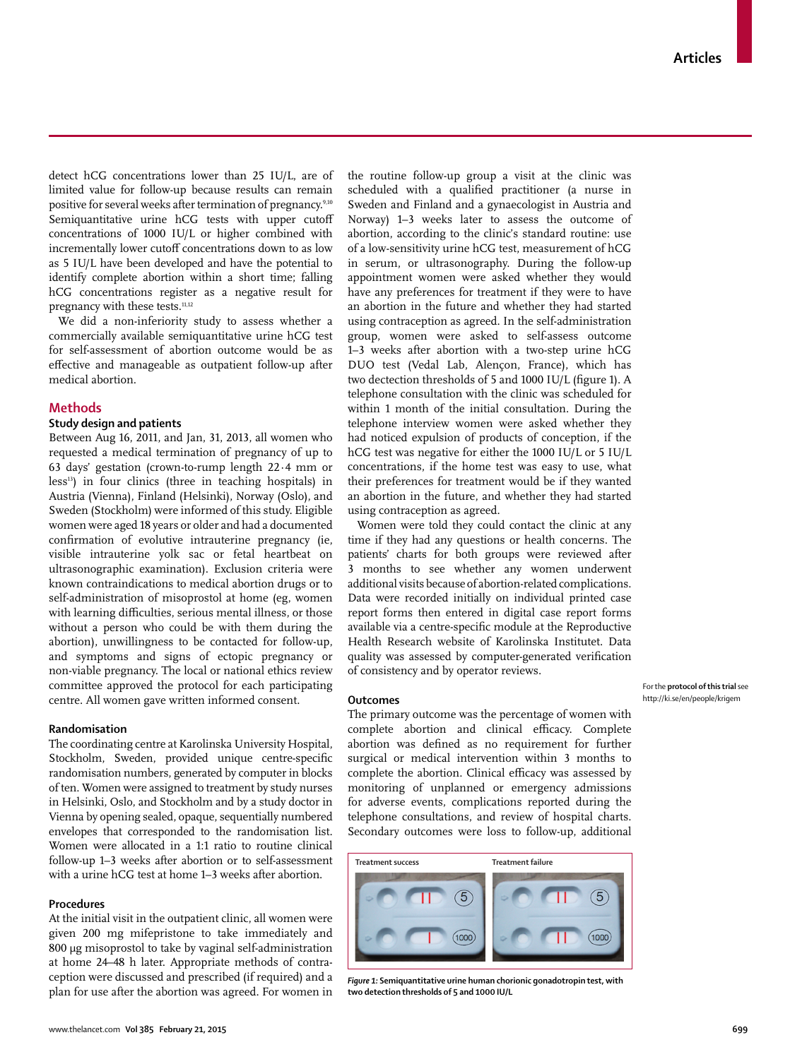detect  $hCG$  concentrations lower than 25 IU/L, are of limited value for follow-up because results can remain positive for several weeks after termination of pregnancy.<sup>9,10</sup> Semiquantitative urine hCG tests with upper cutoff concentrations of 1000 IU/L or higher combined with incrementally lower cutoff concentrations down to as low as 5 IU/L have been developed and have the potential to identify complete abortion within a short time; falling hCG concentrations register as a negative result for pregnancy with these tests.<sup>11,12</sup>

We did a non-inferiority study to assess whether a commercially available semiquantitative urine hCG test for self-assessment of abortion outcome would be as effective and manageable as outpatient follow-up after medical abortion.

# **Methods**

## **Study design and patients**

Between Aug 16, 2011, and Jan, 31, 2013, all women who requested a medical termination of pregnancy of up to 63 days' gestation (crown-to-rump length 22·4 mm or less<sup>13</sup>) in four clinics (three in teaching hospitals) in Austria (Vienna), Finland (Helsinki), Norway (Oslo), and Sweden (Stockholm) were informed of this study. Eligible women were aged 18 years or older and had a documented confirmation of evolutive intrauterine pregnancy (ie, visible intrauterine yolk sac or fetal heartbeat on ultrasonographic examination). Exclusion criteria were known contraindications to medical abortion drugs or to self-administration of misoprostol at home (eg, women with learning difficulties, serious mental illness, or those without a person who could be with them during the abortion), unwillingness to be contacted for follow-up, and symptoms and signs of ectopic pregnancy or non-viable pregnancy. The local or national ethics review committee approved the protocol for each participating centre. All women gave written informed consent.

## **Randomisation**

The coordinating centre at Karolinska University Hospital, Stockholm, Sweden, provided unique centre-specific randomisation numbers, generated by computer in blocks of ten. Women were assigned to treatment by study nurses in Helsinki, Oslo, and Stockholm and by a study doctor in Vienna by opening sealed, opaque, sequentially numbered envelopes that corresponded to the randomisation list. Women were allocated in a 1:1 ratio to routine clinical follow-up 1–3 weeks after abortion or to self-assessment with a urine hCG test at home 1–3 weeks after abortion.

# **Procedures**

At the initial visit in the outpatient clinic, all women were given 200 mg mifepristone to take immediately and 800 μg misoprostol to take by vaginal self-administration at home 24–48 h later. Appropriate methods of contraception were discussed and prescribed (if required) and a plan for use after the abortion was agreed. For women in the routine follow-up group a visit at the clinic was scheduled with a qualified practitioner (a nurse in Sweden and Finland and a gynaecologist in Austria and Norway) 1–3 weeks later to assess the outcome of abortion, according to the clinic's standard routine: use of a low-sensitivity urine hCG test, measurement of hCG in serum, or ultrasonography. During the follow-up appointment women were asked whether they would have any preferences for treatment if they were to have an abortion in the future and whether they had started using contraception as agreed. In the self-administration group, women were asked to self-assess outcome 1–3 weeks after abortion with a two-step urine hCG DUO test (Vedal Lab, Alençon, France), which has two dectection thresholds of 5 and 1000 IU/L (figure 1). A telephone consultation with the clinic was scheduled for within 1 month of the initial consultation. During the telephone interview women were asked whether they had noticed expulsion of products of conception, if the hCG test was negative for either the 1000 IU/L or 5 IU/L concentrations, if the home test was easy to use, what their preferences for treatment would be if they wanted an abortion in the future, and whether they had started using contraception as agreed.

Women were told they could contact the clinic at any time if they had any questions or health concerns. The patients' charts for both groups were reviewed after 3 months to see whether any women underwent additional visits because of abortion-related complications. Data were recorded initially on individual printed case report forms then entered in digital case report forms available via a centre-specific module at the Reproductive Health Research website of Karolinska Institutet. Data quality was assessed by computer-generated verification of consistency and by operator reviews.

## **Outcomes**

The primary outcome was the percentage of women with complete abortion and clinical efficacy. Complete abortion was defined as no requirement for further surgical or medical intervention within 3 months to complete the abortion. Clinical efficacy was assessed by monitoring of unplanned or emergency admissions for adverse events, complications reported during the telephone consultations, and review of hospital charts. Secondary outcomes were loss to follow-up, additional



*Figure 1:* **Semiquantitative urine human chorionic gonadotropin test, with two detection thresholds of 5 and 1000 IU/L**

For the **protocol of this trial** see http://ki.se/en/people/krigem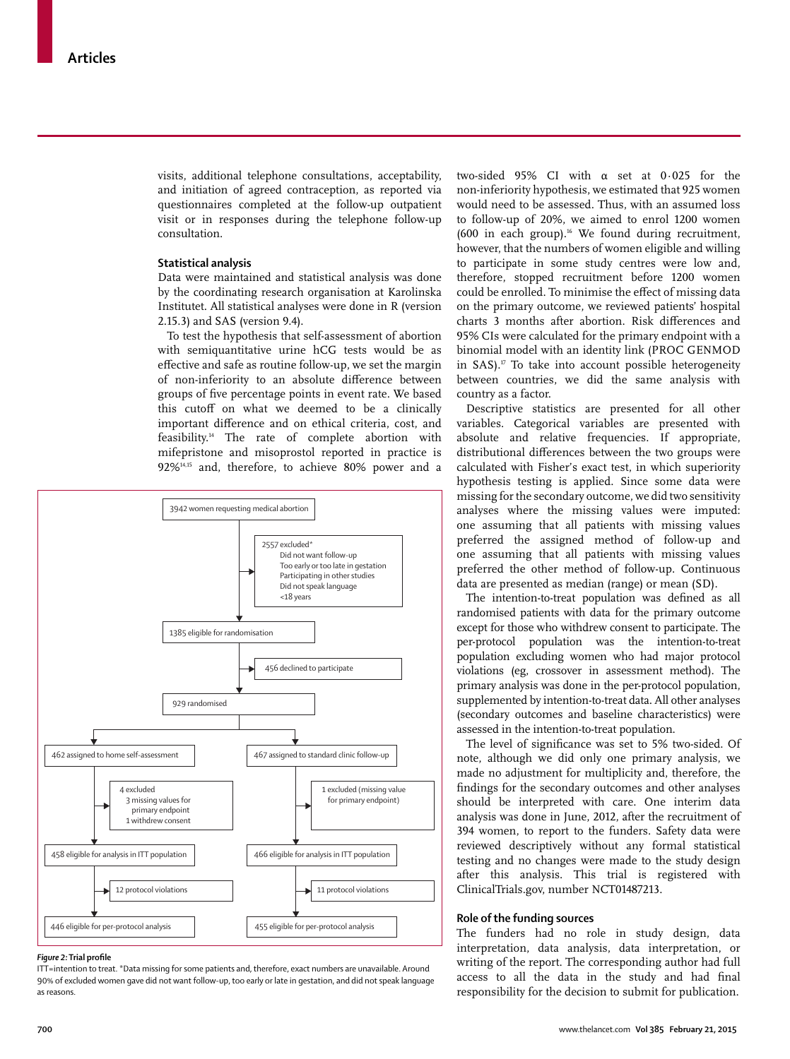visits, additional telephone consultations, acceptability, and initiation of agreed contraception, as reported via questionnaires completed at the follow-up outpatient visit or in responses during the telephone follow-up consultation.

## **Statistical analysis**

Data were maintained and statistical analysis was done by the coordinating research organisation at Karolinska Institutet. All statistical analyses were done in R (version 2.15.3) and SAS (version 9.4).

To test the hypothesis that self-assessment of abortion with semiquantitative urine hCG tests would be as effective and safe as routine follow-up, we set the margin of non-inferiority to an absolute difference between groups of five percentage points in event rate. We based this cutoff on what we deemed to be a clinically important difference and on ethical criteria, cost, and feasibility.14 The rate of complete abortion with mifepristone and misoprostol reported in practice is 92%14,15 and, therefore, to achieve 80% power and a



#### *Figure 2:* Trial profile

ITT=intention to treat. \*Data missing for some patients and, therefore, exact numbers are unavailable. Around 90% of excluded women gave did not want follow-up, too early or late in gestation, and did not speak language as reasons.

two-sided 95% CI with α set at 0·025 for the non-inferiority hypothesis, we estimated that 925 women would need to be assessed. Thus, with an assumed loss to follow-up of 20%, we aimed to enrol 1200 women  $(600$  in each group).<sup>16</sup> We found during recruitment, however, that the numbers of women eligible and willing to participate in some study centres were low and, therefore, stopped recruitment before 1200 women could be enrolled. To minimise the effect of missing data on the primary outcome, we reviewed patients' hospital charts 3 months after abortion. Risk differences and 95% CIs were calculated for the primary endpoint with a binomial model with an identity link (PROC GENMOD in SAS).<sup>17</sup> To take into account possible heterogeneity between countries, we did the same analysis with country as a factor.

Descriptive statistics are presented for all other variables. Categorical variables are presented with absolute and relative frequencies. If appropriate, distributional differences between the two groups were calculated with Fisher's exact test, in which superiority hypothesis testing is applied. Since some data were missing for the secondary outcome, we did two sensitivity analyses where the missing values were imputed: one assuming that all patients with missing values preferred the assigned method of follow-up and one assuming that all patients with missing values preferred the other method of follow-up. Continuous data are presented as median (range) or mean (SD).

The intention-to-treat population was defined as all randomised patients with data for the primary outcome except for those who withdrew consent to participate. The per-protocol population was the intention-to-treat population excluding women who had major protocol violations (eg, crossover in assessment method). The primary analysis was done in the per-protocol population, supplemented by intention-to-treat data. All other analyses (secondary outcomes and baseline characteristics) were assessed in the intention-to-treat population.

The level of significance was set to 5% two-sided. Of note, although we did only one primary analysis, we made no adjustment for multiplicity and, therefore, the findings for the secondary outcomes and other analyses should be interpreted with care. One interim data analysis was done in June, 2012, after the recruitment of 394 women, to report to the funders. Safety data were reviewed descriptively without any formal statistical testing and no changes were made to the study design after this analysis. This trial is registered with ClinicalTrials.gov, number NCT01487213.

# **Role of the funding sources**

The funders had no role in study design, data interpretation, data analysis, data interpretation, or writing of the report. The corresponding author had full access to all the data in the study and had final responsibility for the decision to submit for publication.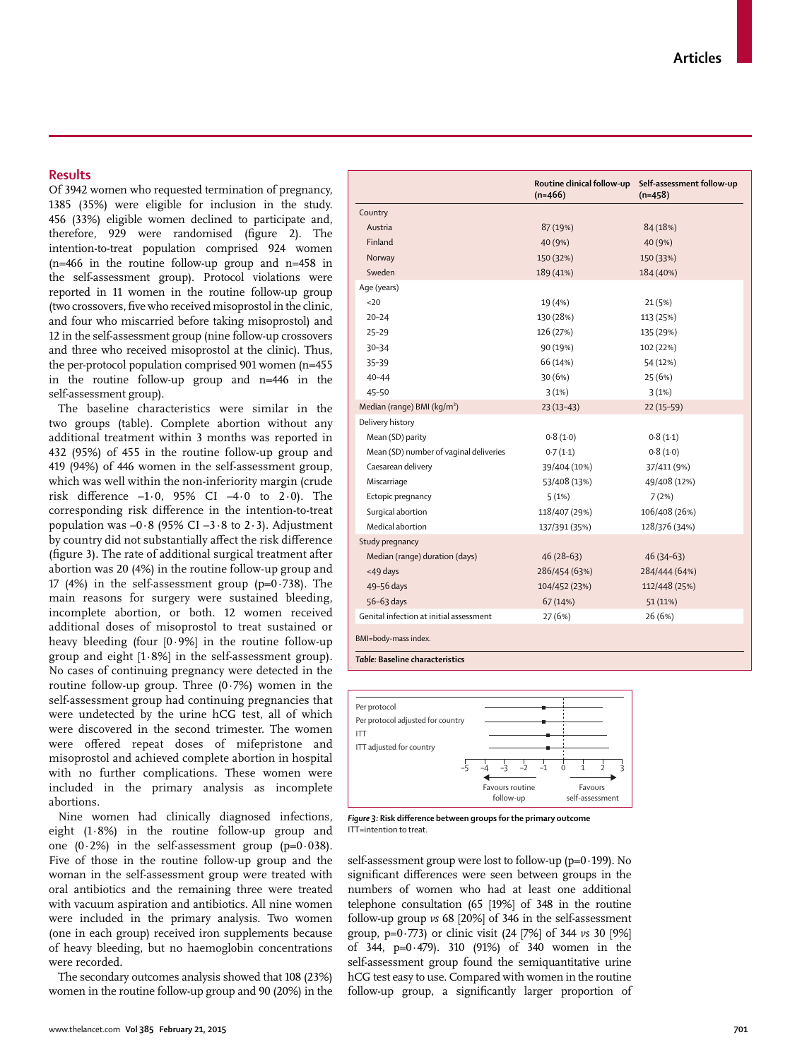# **Results**

Of 3942 women who requested termination of pregnancy, 1385 (35%) were eligible for inclusion in the study. 456 (33%) eligible women declined to participate and, therefore, 929 were randomised (figure 2). The intention-to-treat population comprised 924 women (n=466 in the routine follow-up group and n=458 in the self-assessment group). Protocol violations were reported in 11 women in the routine follow-up group (two crossovers, five who received misoprostol in the clinic, and four who miscarried before taking misoprostol) and 12 in the self-assessment group (nine follow-up crossovers and three who received misoprostol at the clinic). Thus, the per-protocol population comprised 901 women (n=455 in the routine follow-up group and n=446 in the self-assessment group).

The baseline characteristics were similar in the two groups (table). Complete abortion without any additional treatment within 3 months was reported in 432 (95%) of 455 in the routine follow-up group and 419 (94%) of 446 women in the self-assessment group, which was well within the non-inferiority margin (crude risk difference  $-1.0$ , 95% CI  $-4.0$  to 2.0). The corresponding risk difference in the intention-to-treat population was  $-0.8$  (95% CI  $-3.8$  to 2.3). Adjustment by country did not substantially affect the risk difference (figure 3). The rate of additional surgical treatment after abortion was 20 (4%) in the routine follow-up group and 17 (4%) in the self-assessment group  $(p=0.738)$ . The main reasons for surgery were sustained bleeding, incomplete abortion, or both. 12 women received additional doses of misoprostol to treat sustained or heavy bleeding (four  $[0.9\%]$  in the routine follow-up group and eight [1·8%] in the self-assessment group). No cases of continuing pregnancy were detected in the routine follow-up group. Three  $(0.7%)$  women in the self-assessment group had continuing pregnancies that were undetected by the urine hCG test, all of which were discovered in the second trimester. The women were offered repeat doses of mifepristone and misoprostol and achieved complete abortion in hospital with no further complications. These women were included in the primary analysis as incomplete abortions.

Nine women had clinically diagnosed infections, eight (1·8%) in the routine follow-up group and one  $(0.2\%)$  in the self-assessment group  $(p=0.038)$ . Five of those in the routine follow-up group and the woman in the self-assessment group were treated with oral antibiotics and the remaining three were treated with vacuum aspiration and antibiotics. All nine women were included in the primary analysis. Two women (one in each group) received iron supplements because of heavy bleeding, but no haemoglobin concentrations were recorded.

The secondary outcomes analysis showed that 108 (23%) women in the routine follow-up group and 90 (20%) in the

|                                         | Routine clinical follow-up<br>$(n=466)$ | Self-assessment follow-up<br>$(n=458)$ |
|-----------------------------------------|-----------------------------------------|----------------------------------------|
| Country                                 |                                         |                                        |
| Austria                                 | 87 (19%)                                | 84 (18%)                               |
| Finland                                 | 40 (9%)                                 | 40 (9%)                                |
| Norway                                  | 150 (32%)                               | 150 (33%)                              |
| Sweden                                  | 189 (41%)                               | 184 (40%)                              |
| Age (years)                             |                                         |                                        |
| 20                                      | 19 (4%)                                 | 21 (5%)                                |
| $20 - 24$                               | 130 (28%)                               | 113 (25%)                              |
| $25 - 29$                               | 126 (27%)                               | 135 (29%)                              |
| $30 - 34$                               | 90 (19%)                                | 102 (22%)                              |
| $35 - 39$                               | 66 (14%)                                | 54 (12%)                               |
| $40 - 44$                               | 30(6%)                                  | 25 (6%)                                |
| $45 - 50$                               | 3(1%)                                   | 3(1%)                                  |
| Median (range) BMI (kg/m <sup>2</sup> ) | $23(13-43)$                             | $22(15-59)$                            |
| Delivery history                        |                                         |                                        |
| Mean (SD) parity                        | 0.8(1.0)                                | 0.8(1.1)                               |
| Mean (SD) number of vaginal deliveries  | 0.7(1.1)                                | 0.8(1.0)                               |
| Caesarean delivery                      | 39/404 (10%)                            | 37/411 (9%)                            |
| Miscarriage                             | 53/408 (13%)                            | 49/408 (12%)                           |
| Ectopic pregnancy                       | 5(1%)                                   | 7(2%)                                  |
| Surgical abortion                       | 118/407 (29%)                           | 106/408 (26%)                          |
| Medical abortion                        | 137/391 (35%)                           | 128/376 (34%)                          |
| Study pregnancy                         |                                         |                                        |
| Median (range) duration (days)          | $46(28-63)$                             | $46(34-63)$                            |
| <49 days                                | 286/454 (63%)                           | 284/444 (64%)                          |
| 49-56 days                              | 104/452 (23%)                           | 112/448 (25%)                          |
| 56-63 days                              | 67(14%)                                 | 51(11%)                                |
| Genital infection at initial assessment | 27 (6%)                                 | 26 (6%)                                |
| BMI=body-mass index.                    |                                         |                                        |



**Figure 3: Risk difference between groups for the primary outcome** ITT=intention to treat.

self-assessment group were lost to follow-up (p=0·199). No significant differences were seen between groups in the numbers of women who had at least one additional telephone consultation (65 [19%] of 348 in the routine follow-up group *vs* 68 [20%] of 346 in the self-assessment group, p=0·773) or clinic visit (24 [7%] of 344 *vs* 30 [9%] of 344, p=0·479). 310 (91%) of 340 women in the self-assessment group found the semiquantitative urine hCG test easy to use. Compared with women in the routine follow-up group, a significantly larger proportion of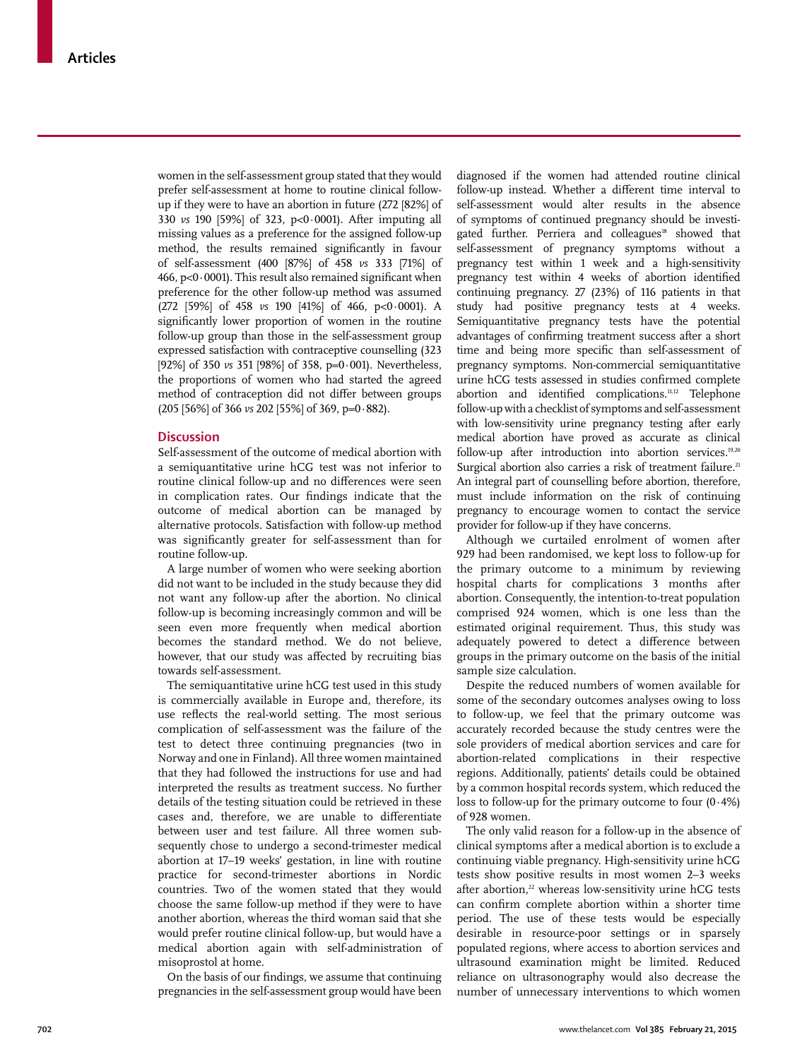women in the self-assessment group stated that they would prefer self-assessment at home to routine clinical followup if they were to have an abortion in future (272 [82%] of 330 *vs* 190 [59%] of 323, p<0·0001). After imputing all missing values as a preference for the assigned follow-up method, the results remained significantly in favour of self-assessment (400 [87%] of 458 *vs* 333 [71%] of 466, p<0 $0.0001$ ). This result also remained significant when preference for the other follow-up method was assumed (272 [59%] of 458 *vs* 190 [41%] of 466, p<0·0001). A significantly lower proportion of women in the routine follow-up group than those in the self-assessment group expressed satisfaction with contraceptive counselling (323 [92%] of 350 *vs* 351 [98%] of 358, p=0·001]. Nevertheless, the proportions of women who had started the agreed method of contraception did not differ between groups (205 [56%] of 366 *vs* 202 [55%] of 369, p=0·882).

# **Discussion**

Self-assessment of the outcome of medical abortion with a semiquantitative urine hCG test was not inferior to routine clinical follow-up and no differences were seen in complication rates. Our findings indicate that the outcome of medical abortion can be managed by alternative protocols. Satisfaction with follow-up method was significantly greater for self-assessment than for routine follow-up.

A large number of women who were seeking abortion did not want to be included in the study because they did not want any follow-up after the abortion. No clinical follow-up is becoming increasingly common and will be seen even more frequently when medical abortion becomes the standard method. We do not believe, however, that our study was affected by recruiting bias towards self-assessment.

The semiquantitative urine hCG test used in this study is commercially available in Europe and, therefore, its use reflects the real-world setting. The most serious complication of self-assessment was the failure of the test to detect three continuing pregnancies (two in Norway and one in Finland). All three women maintained that they had followed the instructions for use and had interpreted the results as treatment success. No further details of the testing situation could be retrieved in these cases and, therefore, we are unable to differentiate between user and test failure. All three women subsequently chose to undergo a second-trimester medical abortion at 17–19 weeks' gestation, in line with routine practice for second-trimester abortions in Nordic countries. Two of the women stated that they would choose the same follow-up method if they were to have another abortion, whereas the third woman said that she would prefer routine clinical follow-up, but would have a medical abortion again with self-administration of misoprostol at home.

On the basis of our findings, we assume that continuing pregnancies in the self-assessment group would have been diagnosed if the women had attended routine clinical follow-up instead. Whether a different time interval to self-assessment would alter results in the absence of symptoms of continued pregnancy should be investigated further. Perriera and colleagues<sup>18</sup> showed that self-assessment of pregnancy symptoms without a pregnancy test within 1 week and a high-sensitivity pregnancy test within 4 weeks of abortion identified continuing pregnancy. 27 (23%) of 116 patients in that study had positive pregnancy tests at 4 weeks. Semiquantitative pregnancy tests have the potential advantages of confirming treatment success after a short time and being more specific than self-assessment of pregnancy symptoms. Non-commercial semiquantitative urine hCG tests assessed in studies confirmed complete abortion and identified complications. $11,12$  Telephone follow-up with a checklist of symptoms and self-assessment with low-sensitivity urine pregnancy testing after early medical abortion have proved as accurate as clinical follow-up after introduction into abortion services.<sup>19,20</sup> Surgical abortion also carries a risk of treatment failure.<sup>21</sup> An integral part of counselling before abortion, therefore, must include information on the risk of continuing pregnancy to encourage women to contact the service provider for follow-up if they have concerns.

Although we curtailed enrolment of women after 929 had been randomised, we kept loss to follow-up for the primary outcome to a minimum by reviewing hospital charts for complications 3 months after abortion. Consequently, the intention-to-treat population comprised 924 women, which is one less than the estimated original requirement. Thus, this study was adequately powered to detect a difference between groups in the primary outcome on the basis of the initial sample size calculation.

Despite the reduced numbers of women available for some of the secondary outcomes analyses owing to loss to follow-up, we feel that the primary outcome was accurately recorded because the study centres were the sole providers of medical abortion services and care for abortion-related complications in their respective regions. Additionally, patients' details could be obtained by a common hospital records system, which reduced the loss to follow-up for the primary outcome to four  $(0.4%)$ of 928 women.

The only valid reason for a follow-up in the absence of clinical symptoms after a medical abortion is to exclude a continuing viable pregnancy. High-sensitivity urine hCG tests show positive results in most women 2–3 weeks after abortion,<sup>22</sup> whereas low-sensitivity urine hCG tests can confirm complete abortion within a shorter time period. The use of these tests would be especially desirable in resource-poor settings or in sparsely populated regions, where access to abortion services and ultrasound examination might be limited. Reduced reliance on ultrasonography would also decrease the number of unnecessary interventions to which women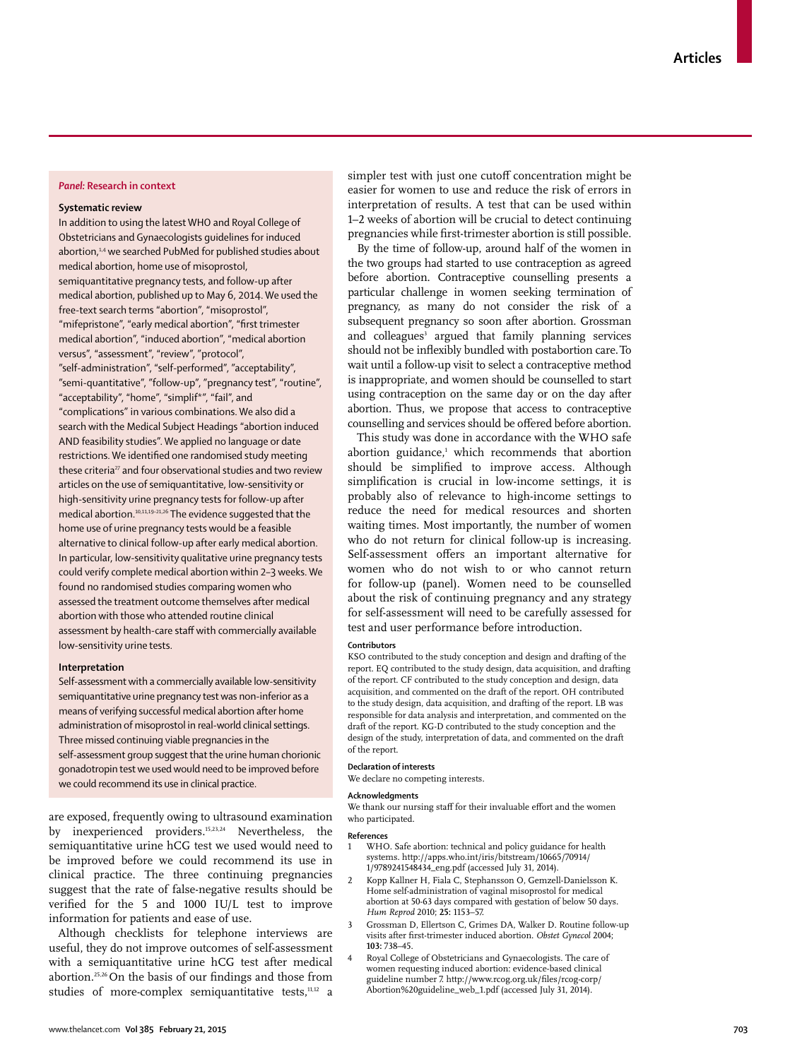## *Panel:* **Research in context**

### **Systematic review**

In addition to using the latest WHO and Royal College of Obstetricians and Gynaecologists guidelines for induced abortion,<sup>1,4</sup> we searched PubMed for published studies about medical abortion, home use of misoprostol, semiquantitative pregnancy tests, and follow-up after medical abortion, published up to May 6, 2014. We used the free-text search terms "abortion", "misoprostol", "mifepristone", "early medical abortion", "first trimester medical abortion", "induced abortion", "medical abortion versus", "assessment", "review", "protocol", "self-administration", "self-performed", "acceptability", "semi-quantitative", "follow-up", "pregnancy test", "routine", "acceptability", "home", "simplif\*", "fail", and "complications" in various combinations. We also did a search with the Medical Subject Headings "abortion induced AND feasibility studies". We applied no language or date restrictions. We identified one randomised study meeting these criteria<sup>27</sup> and four observational studies and two review articles on the use of semiquantitative, low-sensitivity or high-sensitivity urine pregnancy tests for follow-up after medical abortion.10,11,19–21,26 The evidence suggested that the home use of urine pregnancy tests would be a feasible alternative to clinical follow-up after early medical abortion. In particular, low-sensitivity qualitative urine pregnancy tests could verify complete medical abortion within 2–3 weeks. We found no randomised studies comparing women who assessed the treatment outcome themselves after medical abortion with those who attended routine clinical assessment by health-care staff with commercially available low-sensitivity urine tests.

## **Interpretation**

Self-assessment with a commercially available low-sensitivity semiquantitative urine pregnancy test was non-inferior as a means of verifying successful medical abortion after home administration of misoprostol in real-world clinical settings. Three missed continuing viable pregnancies in the self-assessment group suggest that the urine human chorionic gonadotropin test we used would need to be improved before we could recommend its use in clinical practice.

are exposed, frequently owing to ultrasound examination by inexperienced providers.15,23,24 Nevertheless, the semiquantitative urine hCG test we used would need to be improved before we could recommend its use in clinical practice. The three continuing pregnancies suggest that the rate of false-negative results should be verified for the 5 and 1000 IU/L test to improve information for patients and ease of use.

Although checklists for telephone interviews are useful, they do not improve outcomes of self-assessment with a semiquantitative urine hCG test after medical abortion.<sup>25,26</sup> On the basis of our findings and those from studies of more-complex semiquantitative tests,<sup>11,12</sup> a

simpler test with just one cutoff concentration might be easier for women to use and reduce the risk of errors in interpretation of results. A test that can be used within 1–2 weeks of abortion will be crucial to detect continuing pregnancies while first-trimester abortion is still possible.

By the time of follow-up, around half of the women in the two groups had started to use contraception as agreed before abortion. Contraceptive counselling presents a particular challenge in women seeking termination of pregnancy, as many do not consider the risk of a subsequent pregnancy so soon after abortion. Grossman and colleagues<sup>3</sup> argued that family planning services should not be inflexibly bundled with postabortion care. To wait until a follow-up visit to select a contraceptive method is inappropriate, and women should be counselled to start using contraception on the same day or on the day after abortion. Thus, we propose that access to contraceptive counselling and services should be offered before abortion.

This study was done in accordance with the WHO safe abortion guidance,<sup>1</sup> which recommends that abortion should be simplified to improve access. Although simplification is crucial in low-income settings, it is probably also of relevance to high-income settings to reduce the need for medical resources and shorten waiting times. Most importantly, the number of women who do not return for clinical follow-up is increasing. Self-assessment offers an important alternative for women who do not wish to or who cannot return for follow-up (panel). Women need to be counselled about the risk of continuing pregnancy and any strategy for self-assessment will need to be carefully assessed for test and user performance before introduction.

## **Contributors**

KSO contributed to the study conception and design and drafting of the report. EQ contributed to the study design, data acquisition, and drafting of the report. CF contributed to the study conception and design, data acquisition, and commented on the draft of the report. OH contributed to the study design, data acquisition, and drafting of the report. LB was responsible for data analysis and interpretation, and commented on the draft of the report. KG-D contributed to the study conception and the design of the study, interpretation of data, and commented on the draft of the report.

## **Declaration of interests**

We declare no competing interests.

#### **Acknowledgments**

We thank our nursing staff for their invaluable effort and the women who participated.

## **References**

- WHO. Safe abortion: technical and policy guidance for health systems. http://apps.who.int/iris/bitstream/10665/70914/ 1/9789241548434\_eng.pdf (accessed July 31, 2014).
- 2 Kopp Kallner H, Fiala C, Stephansson O, Gemzell-Danielsson K. Home self-administration of vaginal misoprostol for medical abortion at 50-63 days compared with gestation of below 50 days. *Hum Reprod* 2010; **25:** 1153–57.
- 3 Grossman D, Ellertson C, Grimes DA, Walker D. Routine follow-up visits after first-trimester induced abortion. Obstet Gynecol 2004; **103:** 738–45.
- 4 Royal College of Obstetricians and Gynaecologists. The care of women requesting induced abortion: evidence-based clinical guideline number 7. http://www.rcog.org.uk/files/rcog-corp/ Abortion%20guideline\_web\_1.pdf (accessed July 31, 2014).